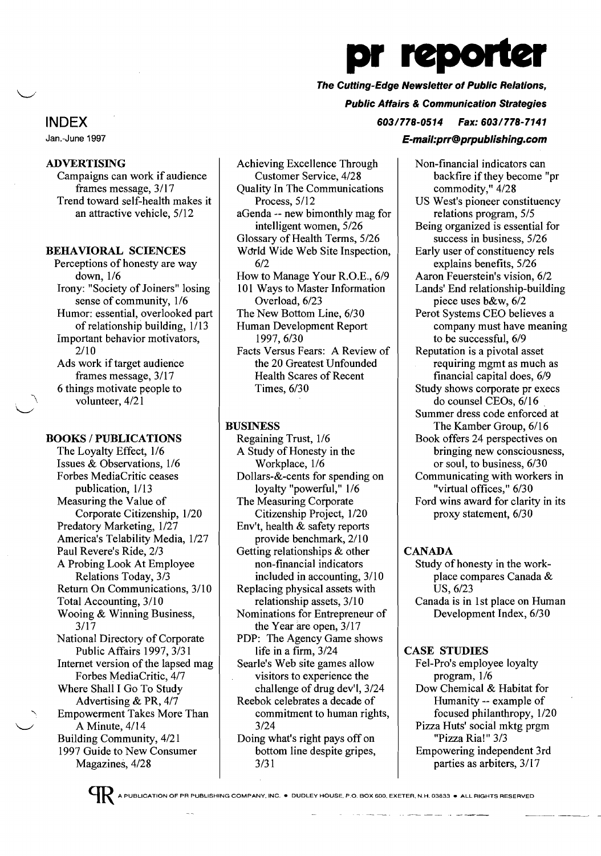

# The Cutting-Edge Newsletter of Public Relations,

Public Affairs & Communication Strategies

603/778-0514 Fax: 603/778-7141

#### E-mail:prr@prpublishing.com

Non-financial indicators can backfire if they become "pr

commodity," 4/28 US West's pioneer constituency relations program, 5/5 Being organized is essential for success in business, 5/26 Early user of constituency rels explains benefits, 5/26 Aaron Feuerstein's vision, 6/2 Lands' End relationship-building piece uses b&w, 6/2 Perot Systems CEO believes a company must have meaning to be successful, 6/9 Reputation is a pivotal asset requiring mgmt as much as financial capital does, 6/9 Study shows corporate pr execs do counsel CEOs, 6/16 Summer dress code enforced at The Kamber Group, 6/16 Book offers 24 perspectives on bringing new consciousness, or soul, to business, 6/30 Communicating with workers in "virtual offices," 6/30 Ford wins award for clarity in its proxy statement, 6/30

## CANADA

Study of honesty in the workplace compares Canada & US, 6/23 Canada is in 1st place on Human Development Index, 6/30

#### CASE STUDIES

Fel-Pro's employee loyalty program, 1/6 Dow Chemical & Habitat for Humanity -- example of focused philanthropy, 1/20 Pizza Huts' social mktg prgm "Pizza Ria!" 3/3 Empowering independent 3rd parties as arbiters, 3/17

# INDEX

Jan.-June 1997

# ADVERTISING

Campaigns can work if audience frames message, 3/17 Trend toward self-health makes it an attractive vehicle, 5/12

# BEHAVIORAL SCIENCES

Perceptions of honesty are way down, 1/6 Irony: "Society of Joiners" losing sense of community, 1/6 Humor: essential, overlooked part of relationship building, 1/13 Important behavior motivators, 2/10 Ads work if target audience frames message, 3/17 6 things motivate people to volunteer,  $4/21$ 

# BOOKS / PUBLICATIONS

The Loyalty Effect, 1/6 Issues & Observations, 1/6 Forbes MediaCritic ceases publication, 1/13 Measuring the Value of Corporate Citizenship, 1/20 Predatory Marketing, 1/27 America's Telability Media, 1/27 Paul Revere's Ride, 2/3 A Probing Look At Employee Relations Today, 3/3 Return On Communications, 3/10 Total Accounting, 3/10 Wooing & Winning Business, 3/17 National Directory of Corporate Public Affairs 1997, 3/31 Internet version of the lapsed mag Forbes MediaCritic, 4/7 Where Shall I Go To Study Advertising & PR, 4/7 , Empowerment Takes More Than A Minute,  $4/14$ Building Community, 4/21 1997 Guide to New Consumer Magazines, 4/28

Achieving Excellence Through Customer Service, 4/28 Quality In The Communications Process, 5/12 aGenda -- new bimonthly mag for intelligent women, 5/26 Glossary of Health Terms, 5/26 World Wide Web Site Inspection, 6/2 How to Manage Your R.O.E., 6/9 101 Ways to Master Information Overload, 6/23 The New Bottom Line, 6/30 Human Development Report 1997,6/30 Facts Versus Fears: A Review of

the 20 Greatest Unfounded Health Scares of Recent Times, 6/30

# BUSINESS

Regaining Trust, 1/6 A Study of Honesty in the Workplace, 1/6 Dollars-&-cents for spending on loyalty "powerful," 1/6 The Measuring Corporate Citizenship Project, 1/20 Env't, health & safety reports provide benchmark, 2/10 Getting relationships & other non-financial indicators included in accounting,  $3/10$ Replacing physical assets with relationship assets, 3/10 Nominations for Entrepreneur of the Year are open, 3/17 PDP: The Agency Game shows life in a firm, 3/24 Searle's Web site games allow visitors to experience the challenge of drug dev'l, 3/24 Reebok celebrates a decade of commitment to human rights, 3/24 Doing what's right pays off on bottom line despite gripes, 3/31

A PUBLICATION OF PR PUBLISHING COMPANY. INC.• DUDLEY HOUSE, P.O. BOX 600, EXETER, N.H. 03833 • ALL RIGHTS RESERVED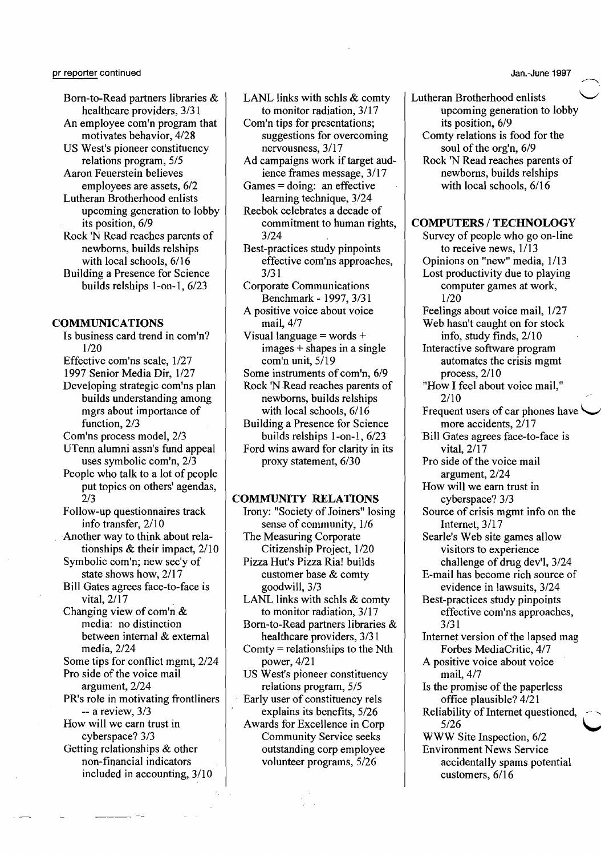Born-to-Read partners libraries & healthcare providers, 3/31 An employee com'n program that motivates behavior, 4/28 US West's pioneer constituency relations program, 5/5 Aaron Feuerstein believes employees are assets, 6/2 Lutheran Brotherhood enlists upcoming generation to lobby its position, 6/9 Rock 'N Read reaches parents of newborns, builds relships with local schools, 6/16

Building a Presence for Science builds relships l-on-l, 6/23

#### **COMMUNICATIONS**

Is business card trend in com'n? 1/20 Effective com'ns scale, 1/27 1997 Senior Media Dir, 1/27 Developing strategic com'ns plan builds understanding among mgrs about importance of function, 2/3 Com'ns process model, 2/3 UTenn alumni assn's fund appeal uses symbolic com'n, 2/3 People who talk to a lot of people put topics on others' agendas, 2/3 Follow-up questionnaires track info transfer,  $2/10$ Another way to think about relationships & their impact, 2/10 Symbolic com'n; new sec'y of state shows how, 2/17 Bill Gates agrees face-to-face is vital, 2/17 Changing view of com'n & media: no distinction between internal & external media, 2/24 Some tips for conflict mgmt, 2/24 Pro side of the voice mail argument, 2/24 PR's role in motivating frontliners -- a review, 3/3 How will we earn trust in cyberspace? 3/3 Getting relationships & other non-financial indicators included in accounting,  $3/10$ 

LANL links with schls & comty to monitor radiation, 3/17

Com'n tips for presentations; suggestions for overcoming nervousness, 3/17

Ad campaigns work if target audience frames message, 3/17 Games = doing: an effective

- learning technique, 3/24 Reebok celebrates a decade of
- commitment to human rights, 3/24

Best-practices study pinpoints effective com'ns approaches, 3/31

Corporate Communications Benchmark - 1997, 3/31 A positive voice about voice mail, 4/7

Visual language = words + images + shapes in a single com'n unit, 5/19

Some instruments of com'n, 6/9 Rock 'N Read reaches parents of newborns, builds relships

with local schools, 6/16 Building a Presence for Science builds relships l-on-l, 6/23

Ford wins award for clarity in its proxy statement, 6/30

#### **COMMUNITY RELATIONS**

Irony: "Society of Joiners" losing sense of community, 1/6

The Measuring Corporate Citizenship Project, 1/20 Pizza Hut's Pizza Ria! builds customer base & comty goodwill, 3/3

LANL links with schls & comty to monitor radiation, 3/17

Born-to-Read partners libraries & healthcare providers, 3/31

Comty = relationships to the Nth power, 4/21

US West's pioneer constituency relations program, 5/5

Early user of constituency rels explains its benefits, 5/26 Awards for Excellence in Corp Community Service seeks outstanding corp employee volunteer programs, 5/26

Lutheran Brotherhood enlists upcoming generation to lobby its position, 6/9 Comty relations is food for the soul of the org'n, 6/9 Rock 'N Read reaches parents of newborns, builds relships with local schools, 6/16

#### **COMPUTERS/TECHNOLOGY**

Survey of people who go on-line to receive news, 1/13 Opinions on "new" media, 1/13 Lost productivity due to playing computer games at work, 1/20 Feelings about voice mail, 1/27 Web hasn't caught on for stock info, study finds, 2/10 Interactive software program automates the crisis mgmt process, 2/10 "How I feel about voice mail," 2/10 Frequent users of car phones have more accidents, 2/17 'Bill Gates agrees face-to-face is vital, 2/17 Pro side of the voice mail argument, 2/24 How will we earn trust in cyberspace? 3/3 Source of crisis mgmt info on the Internet, 3/17 Searle's Web site games allow visitors to experience challenge of drug dev'l, 3/24 E-mail has become rich source of evidence in lawsuits, 3/24 Best-practices study pinpoints effective com'ns approaches, 3/31 Internet version of the lapsed mag Forbes MediaCritic, 4/7 A positive voice about voice mail, 4/7 Is the promise of the paperless office plausible? 4/21 Reliability of Internet questioned,  $5/26$   $\qquad \qquad \begin{array}{c} \begin{array}{c} \begin{array}{c} \end{array}\\ \end{array} \end{array}$ WWW Site Inspection, 6/2 Environment News Service accidentally spams potential customers, 6/16

Jan.-June 1997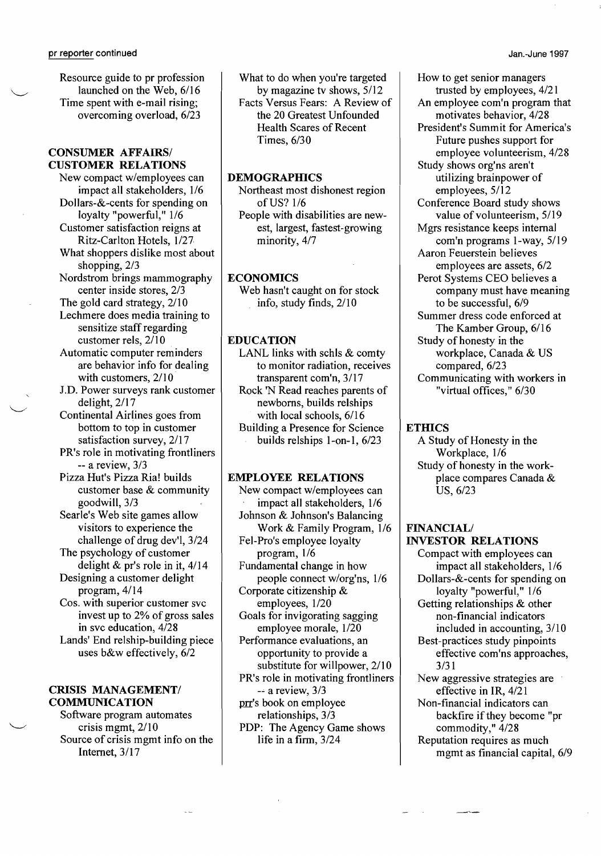Resource guide to pr profession launched on the Web, 6/16 Time spent with e-mail rising; overcoming overload, 6/23

# CONSUMER AFFAIRS/ CUSTOMER RELATIONS

New compact w/employees can impact all stakeholders, 1/6 Dollars-&-cents for spending on loyalty "powerful," 1/6 Customer satisfaction reigns at Ritz-Carlton Hotels, 1/27 What shoppers dislike most about shopping,  $2/3$ Nordstrom brings mammography center inside stores, 2/3 The gold card strategy, 2/10 Lechmere does media training to sensitize staff regarding customer rels,  $2/10$ Automatic computer reminders are behavior info for dealing with customers,  $2/10$ J.D. Power surveys rank customer delight, 2/17 Continental Airlines goes from bottom to top in customer satisfaction survey, 2/17 PR's role in motivating frontliners -- a review, 3/3 Pizza Hut's Pizza Ria! builds customer base & community goodwill, 3/3 Searle's Web site games allow visitors to experience the challenge of drug dev'l, 3/24 The psychology of customer delight & pr's role in it, 4/14 Designing a customer delight program, 4/14 Cos. with superior customer svc invest up to 2% of gross sales in svc education, 4/28 Lands' End relship-building piece uses b&w effectively, 6/2

## CRISIS MANAGEMENT/ COMMUNICATION

Software program automates crisis mgmt, 2/10 Source of crisis mgmt info on the Internet, 3/17

What to do when you're targeted by magazine tv shows, 5/12 Facts Versus Fears: A Review of the 20 Greatest Unfounded Health Scares of Recent Times, 6/30

# **DEMOGRAPHICS**

Northeast most dishonest region ofUS? 1/6 People with disabilities are newest, largest, fastest-growing minority, 4/7

# **ECONOMICS**

Web hasn't caught on for stock info, study finds, 2/10

## EDUCATION

LANL links with schls & comty to monitor radiation, receives transparent com'n, 3/17 Rock 'N Read reaches parents of newborns, builds relships with local schools, 6/16 Building a Presence for Science builds relships l-on-I, 6/23

#### EMPLOYEE RELATIONS

New compact w/employees can impact all stakeholders, 1/6 Johnson & Johnson's Balancing Work & Family Program, 1/6 Fel-Pro's employee loyalty program, 1/6 Fundamental change in how people connect w/org'ns, 1/6 Corporate citizenship & employees, 1/20 Goals for invigorating sagging employee morale, 1/20 Performance evaluations, an opportunity to provide a substitute for willpower, 2/10 PR's role in motivating frontliners -~ a review, 3/3 prr's book on employee relationships, 3/3 PDP: The Agency Game shows life in a firm, 3/24

How to get senior managers trusted by employees, 4/21 An employee com'n program that motivates behavior, 4/28 President's Summit for America's Future pushes support for employee volunteerism, 4/28 Study shows org'ns aren't utilizing brainpower of employees, 5/12 Conference Board study shows value of volunteerism, 5/19 Mgrs resistance keeps internal com'n programs l-way, 5/19 Aaron Feuerstein believes employees are assets, 6/2 Perot Systems CEO believes a company must have meaning to be successful, 6/9 Summer dress code enforced at The Kamber Group, 6/16 Study of honesty in the workplace, Canada & US compared, 6/23 Communicating with workers in "virtual offices," 6/30

#### **ETHICS**

A Study of Honesty in the Workplace, 1/6 Study of honesty in the workplace compares Canada & US, 6/23

#### **FINANCIAL/** INVESTOR RELATIONS

Compact with employees can impact all stakeholders, 1/6 Dollars-&-cents for spending on loyalty "powerful," 1/6 Getting relationships & other non-financial indicators included in accounting,  $3/10$ Best-practices study pinpoints effective com'ns approaches, 3/31 New aggressive strategies are effective in IR, 4/21 Non-financial indicators can backfire if they become "pr commodity," 4/28 Reputation requires as much

mgmt as financial capital, 6/9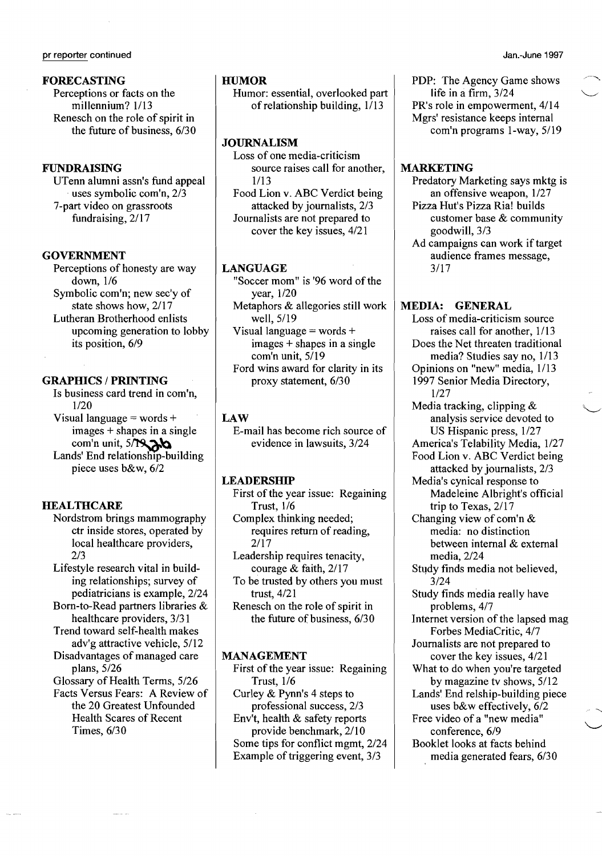## FORECASTING

Perceptions or facts on the millennium? 1/13 Renesch on the role of spirit in the future of business, 6/30

# FUNDRAISING

UTenn alumni assn's fund appeal uses symbolic com'n,  $2\sqrt{3}$ 7-part video on grassroots fundraising, 2/17

#### **GOVERNMENT**

Perceptions of honesty are way down, 1/6 Symbolic com'n; new sec'y of state shows how, 2/17 Lutheran Brotherhood enlists

upcoming generation to lobby its position, 6/9

### GRAPHICS / PRINTING

Is business card trend in com'n, 1/20

Visual language = words + images + shapes in a single com'n unit, 5/**NAb** 

Lands' End relationship-building piece uses b&w, 6/2

## **HEALTHCARE**

Nordstrom brings mammography ctr inside stores, operated by local healthcare providers, 2/3

Lifestyle research vital in building relationships; survey of pediatricians is example, 2/24

Born-to-Read partners libraries & healthcare providers, 3/31 Trend toward self-health makes

adv'g attractive vehicle, 5/12 Disadvantages of managed care

plans, 5/26 Glossary of Health Terms, 5/26 Facts Versus Fears: A Review of the 20 Greatest Unfounded

Health Scares of Recent Times, 6/30

# **HIIMOR**

Humor: essential, overlooked part of relationship building, 1/13

#### JOURNALISM

Loss of one media-criticism source raises call for another, 1/13 Food Lion v. ABC Verdict being attacked by journalists, 2/3 Journalists are not prepared to cover the key issues, 4/21

#### LANGUAGE

"Soccer mom" is '96 word of the year, 1/20 Metaphors & allegories still work well, 5/19 Visual language  $=$  words  $+$ images + shapes in a single com'n unit, 5/19 Ford wins award for clarity in its proxy statement, 6/30

# LAW

E-mail has become rich source of evidence in lawsuits, 3/24

## LEADERSHIP

First of the year issue: Regaining Trust, 1/6

Complex thinking needed; requires return of reading, 2/17

Leadership requires tenacity, courage & faith, 2/17

To be trusted by others you must trust, 4/21

Renesch on the role of spirit in the future of business, 6/30

#### MANAGEMENT

First of the year issue: Regaining Trust, 1/6 Curley & Pynn's 4 steps to professional success, 2/3 Env't, health & safety reports provide benchmark, 2/10 Some tips for conflict mgmt, 2/24 Example of triggering event, 3/3

PDP: The Agency Game shows life in a firm, 3/24 PR's role in empowerment, 4/14 Mgrs' resistance keeps internal com'n programs l-way, 5/19

#### MARKETING

Predatory Marketing says mktg is an offensive weapon, 1/27 Pizza Hut's Pizza Ria! builds customer base & community goodwill, 3/3

Ad campaigns can work if target audience frames message, 3/17

#### MEDIA: GENERAL

Loss of media-criticism source raises call for another, 1/13 Does the Net threaten traditional media? Studies say no, 1/13 Opinions on "new" media, 1/13 1997 Senior Media Directory, 1/27 Media tracking, clipping & analysis service devoted to US Hispanic press, 1/27 America's Telability Media, 1/27 Food Lion v. ABC Verdict being attacked by journalists, 2/3 Media's cynical response to Madeleine Albright's official trip to Texas, 2/17 Changing view of com'n & media: no distinction between internal & external media, 2/24 Study finds media not believed, 3/24 Study finds media really have problems, 4/7 Internet version of the lapsed mag Forbes MediaCritic, 4/7 Journalists are not prepared to cover the key issues, 4/21 What to do when you're targeted by magazine tv shows, 5/12 Lands' End relship-building piece uses b&w effectively, 6/2 Free video of a "new media" conference, 6/9 Booklet looks at facts behind media generated fears, 6/30

Jan.-June 1997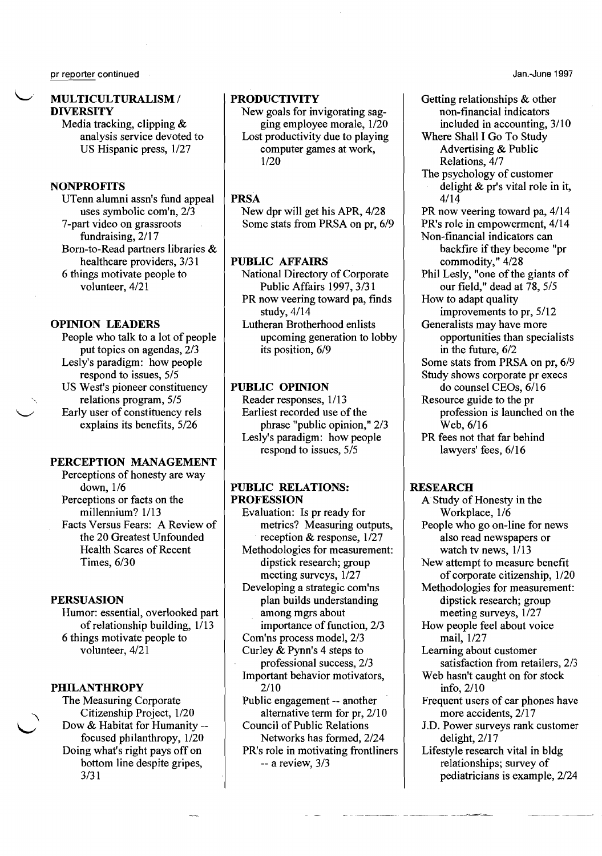Jan.-June 1997

# ~. MULTICULTURALISM / **DIVERSITY**

Media tracking, clipping & analysis service devoted to US Hispanic press, 1/27

# **NONPROFITS**

UTenn alumni assn's fund appeal uses symbolic com'n, 2/3 7-part video on grassroots fundraising, 2/17 Born-to-Read partners libraries & healthcare providers, 3/31 6 things motivate people to volunteer, 4/21

# OPINION LEADERS

People who talk to a lot of people put topics on agendas, 2/3 Lesly's paradigm: how people respond to issues, 5/5 US West's pioneer constituency relations program, 5/5 \...-/ Early user of constituency rels explains its benefits, 5/26

#### PERCEPTION MANAGEMENT

Perceptions of honesty are way down, 1/6 Perceptions or facts on the millennium? 1/13 Facts Versus Fears: A Review of the 20 Greatest Unfounded Health Scares of Recent Times, 6/30

#### PERSUASION

Humor: essential, overlooked part of relationship building, 1/13 6 things motivate people to volunteer, 4/21

# PHILANTHROPY

The Measuring Corporate<br>Citizenship Project, 1/20 Dow & Habitat for Humanity -focused philanthropy, 1/20 Doing what's right pays off on bottom line despite gripes, 3/31

# **PRODUCTIVITY**

New goals for invigorating sagging employee morale, 1/20 Lost productivity due to playing computer games at work, 1/20

### PRSA

New dpr will get his APR, 4/28 Some stats from PRSA on pr, 6/9

## PUBLIC AFFAIRS

National Directory of Corporate Public Affairs 1997, 3/31 PR now veering toward pa, finds study, 4/14

Lutheran Brotherhood enlists upcoming generation to lobby its position, 6/9

## PUBLIC OPINION

Reader responses, 1/13 Earliest recorded use of the phrase "public opinion," 2/3 Lesly's paradigm: how people respond to issues, 5/5

#### PUBLIC RELATIONS: PROFESSION

Evaluation: Is pr ready for metrics? Measuring outputs, reception & response, 1/27 Methodologies for measurement: dipstick research; group meeting surveys,  $1/27$ Developing a strategic com'ns plan builds understanding

among mgrs about importance of function, 2/3 Com'ns process model, 2/3

- Curley & Pynn's 4 steps to
- professional success, 2/3 Important behavior motivators, 2/10
- Public engagement -- another alternative term for pr, 2/10 Council of Public Relations
- Networks has formed, 2/24 PR's role in motivating frontliners

-- a review, 3/3

Getting relationships & other non-financial indicators included in accounting, 3/10

Where Shall I Go To Study Advertising & Public Relations, 4/7

The psychology of customer delight & pr's vital role in it, 4/14

PR now veering toward pa, 4/14

PR's role in empowerment, 4/14

Non-financial indicators can backfire if they become "pr commodity," 4/28

Phil Lesly, "one of the giants of our field," dead at 78, 5/5 How to adapt quality

improvements to pr, 5/12 Generalists may have more

opportunities than specialists in the future, 6/2

Some stats from PRSA on pr, 6/9

Study shows corporate pr execs do counsel CEOs, 6/16 Resource guide to the pr

profession is launched on the Web,6/16

PR fees not that far behind lawyers' fees, 6/16

#### RESEARCH

A Study of Honesty in the Workplace, 1/6 People who go on-line for news also read newspapers or watch tv news, 1/13 New attempt to measure benefit of corporate citizenship, 1/20 Methodologies for measurement: dipstick research; group meeting surveys,  $1/27$ How people feel about voice mail, 1/27 Learning about customer satisfaction from retailers, 2/3 Web hasn't caught on for stock info, 2/10 Frequent users of car phones have more accidents, 2/17 J.D. Power surveys rank customer delight, 2/17 Lifestyle research vital in bldg relationships; survey of pediatricians is example, 2/24